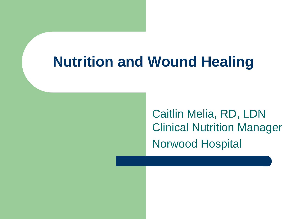#### **Nutrition and Wound Healing**

Caitlin Melia, RD, LDN Clinical Nutrition Manager Norwood Hospital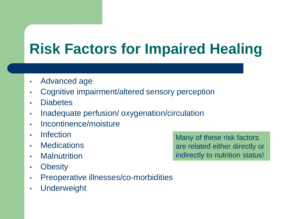# **Risk Factors for Impaired Healing**

- Advanced age
- Cognitive impairment/altered sensory perception
- **Diabetes**
- Inadequate perfusion/ oxygenation/circulation
- Incontinence/moisture
- Infection
- Medications
- Malnutrition
- Obesity
- Preoperative illnesses/co-morbidities
- Underweight

Many of these risk factors are related either directly or indirectly to nutrition status!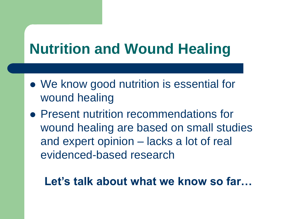# **Nutrition and Wound Healing**

- We know good nutrition is essential for wound healing
- Present nutrition recommendations for wound healing are based on small studies and expert opinion – lacks a lot of real evidenced-based research

#### **Let's talk about what we know so far…**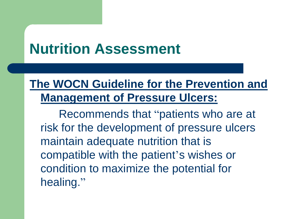## **Nutrition Assessment**

#### **The WOCN Guideline for the Prevention and Management of Pressure Ulcers:**

Recommends that "patients who are at risk for the development of pressure ulcers maintain adequate nutrition that is compatible with the patient's wishes or condition to maximize the potential for healing."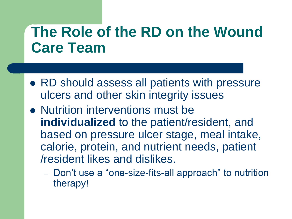## **The Role of the RD on the Wound Care Team**

- RD should assess all patients with pressure ulcers and other skin integrity issues
- Nutrition interventions must be **individualized** to the patient/resident, and based on pressure ulcer stage, meal intake, calorie, protein, and nutrient needs, patient /resident likes and dislikes.
	- Don't use a "one-size-fits-all approach" to nutrition therapy!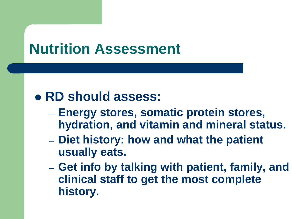## **Nutrition Assessment**

#### **RD should assess:**

- **Energy stores, somatic protein stores, hydration, and vitamin and mineral status.**
- **Diet history: how and what the patient usually eats.**
- **Get info by talking with patient, family, and clinical staff to get the most complete history.**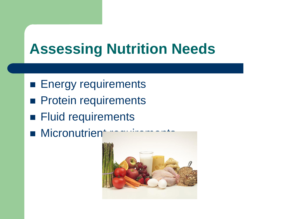# **Assessing Nutrition Needs**

- **Energy requirements**
- **Protein requirements**
- **Fluid requirements**
- **Micronutrient**

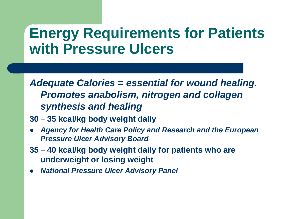#### **Energy Requirements for Patients with Pressure Ulcers**

*Adequate Calories = essential for wound healing. Promotes anabolism, nitrogen and collagen synthesis and healing*

- **30 – 35 kcal/kg body weight daily**
- *Agency for Health Care Policy and Research and the European Pressure Ulcer Advisory Board*
- **35 – 40 kcal/kg body weight daily for patients who are underweight or losing weight**
- *National Pressure Ulcer Advisory Panel*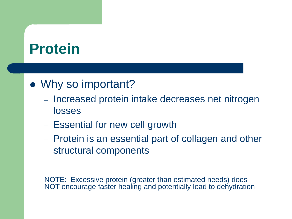## **Protein**

#### • Why so important?

- Increased protein intake decreases net nitrogen losses
- Essential for new cell growth
- Protein is an essential part of collagen and other structural components

NOTE: Excessive protein (greater than estimated needs) does NOT encourage faster healing and potentially lead to dehydration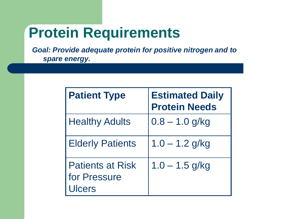## **Protein Requirements**

*Goal: Provide adequate protein for positive nitrogen and to spare energy.* 

| <b>Patient Type</b>                               | <b>Estimated Daily</b><br><b>Protein Needs</b> |
|---------------------------------------------------|------------------------------------------------|
| <b>Healthy Adults</b>                             | $0.8 - 1.0$ g/kg                               |
| <b>Elderly Patients</b>                           | $1.0 - 1.2$ g/kg                               |
| <b>Patients at Risk</b><br>for Pressure<br>Ulcers | $1.0 - 1.5$ g/kg                               |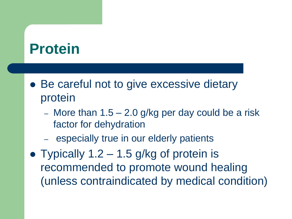## **Protein**

- Be careful not to give excessive dietary protein
	- More than  $1.5 2.0$  g/kg per day could be a risk factor for dehydration
	- especially true in our elderly patients
- Typically  $1.2 1.5$  g/kg of protein is recommended to promote wound healing (unless contraindicated by medical condition)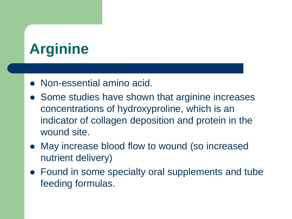# **Arginine**

- Non-essential amino acid.
- Some studies have shown that arginine increases concentrations of hydroxyproline, which is an indicator of collagen deposition and protein in the wound site.
- May increase blood flow to wound (so increased nutrient delivery)
- Found in some specialty oral supplements and tube feeding formulas.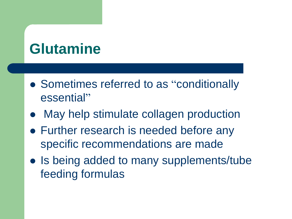# **Glutamine**

- Sometimes referred to as "conditionally essential"
- May help stimulate collagen production
- Further research is needed before any specific recommendations are made
- Is being added to many supplements/tube feeding formulas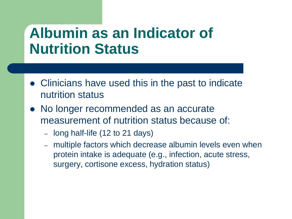#### **Albumin as an Indicator of Nutrition Status**

- Clinicians have used this in the past to indicate nutrition status
- No longer recommended as an accurate measurement of nutrition status because of:
	- long half-life (12 to 21 days)
	- multiple factors which decrease albumin levels even when protein intake is adequate (e.g., infection, acute stress, surgery, cortisone excess, hydration status)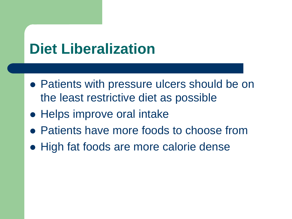## **Diet Liberalization**

- Patients with pressure ulcers should be on the least restrictive diet as possible
- Helps improve oral intake
- Patients have more foods to choose from
- High fat foods are more calorie dense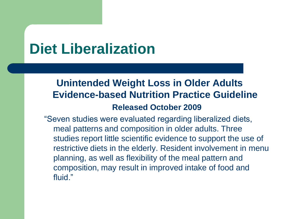## **Diet Liberalization**

#### **Unintended Weight Loss in Older Adults Evidence-based Nutrition Practice Guideline Released October 2009**

―Seven studies were evaluated regarding liberalized diets, meal patterns and composition in older adults. Three studies report little scientific evidence to support the use of restrictive diets in the elderly. Resident involvement in menu planning, as well as flexibility of the meal pattern and composition, may result in improved intake of food and fluid."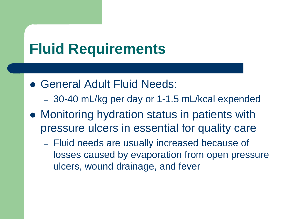## **Fluid Requirements**

- General Adult Fluid Needs:
	- 30-40 mL/kg per day or 1-1.5 mL/kcal expended
- Monitoring hydration status in patients with pressure ulcers in essential for quality care
	- Fluid needs are usually increased because of losses caused by evaporation from open pressure ulcers, wound drainage, and fever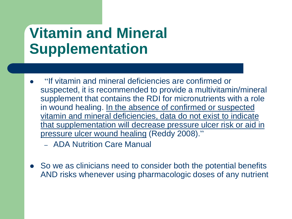# **Vitamin and Mineral Supplementation**

- "If vitamin and mineral deficiencies are confirmed or suspected, it is recommended to provide a multivitamin/mineral supplement that contains the RDI for micronutrients with a role in wound healing. In the absence of confirmed or suspected vitamin and mineral deficiencies, data do not exist to indicate that supplementation will decrease pressure ulcer risk or aid in pressure ulcer wound healing (Reddy 2008)."
	- ADA Nutrition Care Manual
- So we as clinicians need to consider both the potential benefits AND risks whenever using pharmacologic doses of any nutrient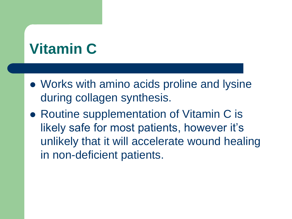# **Vitamin C**

- Works with amino acids proline and lysine during collagen synthesis.
- Routine supplementation of Vitamin C is likely safe for most patients, however it's unlikely that it will accelerate wound healing in non-deficient patients.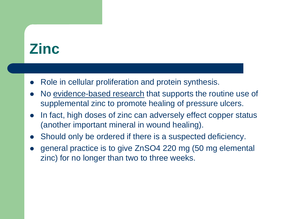## **Zinc**

- Role in cellular proliferation and protein synthesis.
- No evidence-based research that supports the routine use of supplemental zinc to promote healing of pressure ulcers.
- In fact, high doses of zinc can adversely effect copper status (another important mineral in wound healing).
- Should only be ordered if there is a suspected deficiency.
- general practice is to give ZnSO4 220 mg (50 mg elemental zinc) for no longer than two to three weeks.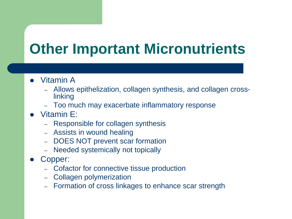# **Other Important Micronutrients**

- Vitamin A
	- Allows epithelization, collagen synthesis, and collagen crosslinking
	- Too much may exacerbate inflammatory response
- Vitamin E:
	- Responsible for collagen synthesis
	- Assists in wound healing
	- DOES NOT prevent scar formation
	- Needed systemically not topically
- Copper:
	- Cofactor for connective tissue production
	- Collagen polymerization
	- Formation of cross linkages to enhance scar strength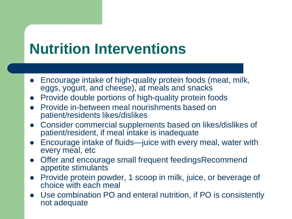## **Nutrition Interventions**

- Encourage intake of high-quality protein foods (meat, milk, eggs, yogurt, and cheese), at meals and snacks
- Provide double portions of high-quality protein foods
- Provide in-between meal nourishments based on patient/residents likes/dislikes
- Consider commercial supplements based on likes/dislikes of patient/resident, if meal intake is inadequate
- Encourage intake of fluids—juice with every meal, water with every meal, etc
- Offer and encourage small frequent feedingsRecommend appetite stimulants
- Provide protein powder, 1 scoop in milk, juice, or beverage of choice with each meal
- Use combination PO and enteral nutrition, if PO is consistently not adequate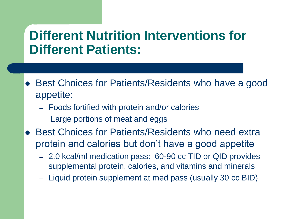#### **Different Nutrition Interventions for Different Patients:**

- Best Choices for Patients/Residents who have a good appetite:
	- Foods fortified with protein and/or calories
	- Large portions of meat and eggs
- Best Choices for Patients/Residents who need extra protein and calories but don't have a good appetite
	- 2.0 kcal/ml medication pass: 60-90 cc TID or QID provides supplemental protein, calories, and vitamins and minerals
	- Liquid protein supplement at med pass (usually 30 cc BID)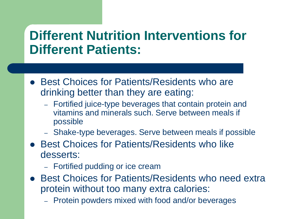#### **Different Nutrition Interventions for Different Patients:**

- Best Choices for Patients/Residents who are drinking better than they are eating:
	- Fortified juice-type beverages that contain protein and vitamins and minerals such. Serve between meals if possible
	- Shake-type beverages. Serve between meals if possible
- **Best Choices for Patients/Residents who like** desserts:
	- Fortified pudding or ice cream
- Best Choices for Patients/Residents who need extra protein without too many extra calories:
	- Protein powders mixed with food and/or beverages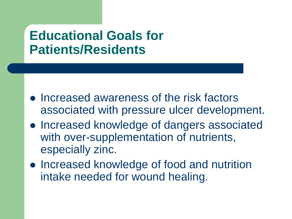#### **Educational Goals for Patients/Residents**

- Increased awareness of the risk factors associated with pressure ulcer development.
- Increased knowledge of dangers associated with over-supplementation of nutrients, especially zinc.
- Increased knowledge of food and nutrition intake needed for wound healing.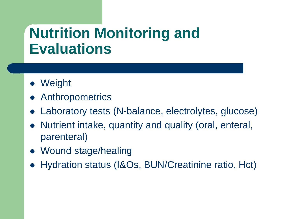## **Nutrition Monitoring and Evaluations**

- Weight
- **Anthropometrics**
- Laboratory tests (N-balance, electrolytes, glucose)
- Nutrient intake, quantity and quality (oral, enteral, parenteral)
- Wound stage/healing
- Hydration status (I&Os, BUN/Creatinine ratio, Hct)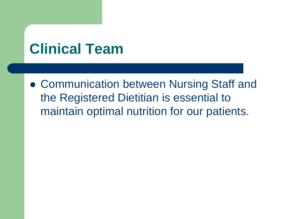## **Clinical Team**

 Communication between Nursing Staff and the Registered Dietitian is essential to maintain optimal nutrition for our patients.